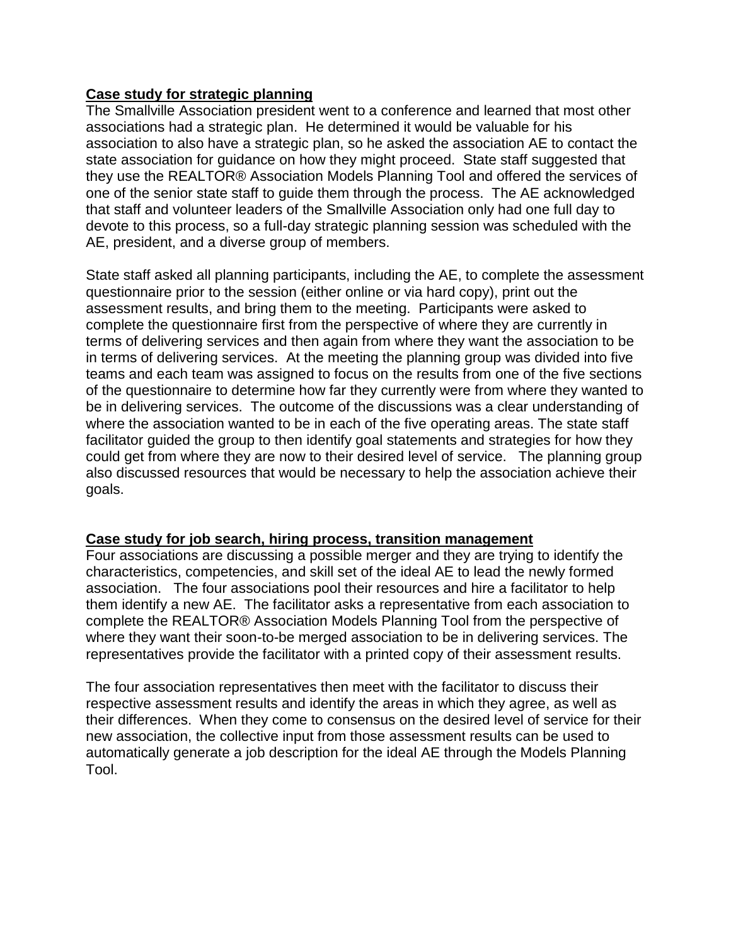## **Case study for strategic planning**

The Smallville Association president went to a conference and learned that most other associations had a strategic plan. He determined it would be valuable for his association to also have a strategic plan, so he asked the association AE to contact the state association for guidance on how they might proceed. State staff suggested that they use the REALTOR® Association Models Planning Tool and offered the services of one of the senior state staff to guide them through the process. The AE acknowledged that staff and volunteer leaders of the Smallville Association only had one full day to devote to this process, so a full-day strategic planning session was scheduled with the AE, president, and a diverse group of members.

State staff asked all planning participants, including the AE, to complete the assessment questionnaire prior to the session (either online or via hard copy), print out the assessment results, and bring them to the meeting. Participants were asked to complete the questionnaire first from the perspective of where they are currently in terms of delivering services and then again from where they want the association to be in terms of delivering services. At the meeting the planning group was divided into five teams and each team was assigned to focus on the results from one of the five sections of the questionnaire to determine how far they currently were from where they wanted to be in delivering services. The outcome of the discussions was a clear understanding of where the association wanted to be in each of the five operating areas. The state staff facilitator guided the group to then identify goal statements and strategies for how they could get from where they are now to their desired level of service. The planning group also discussed resources that would be necessary to help the association achieve their goals.

## **Case study for job search, hiring process, transition management**

Four associations are discussing a possible merger and they are trying to identify the characteristics, competencies, and skill set of the ideal AE to lead the newly formed association. The four associations pool their resources and hire a facilitator to help them identify a new AE. The facilitator asks a representative from each association to complete the REALTOR® Association Models Planning Tool from the perspective of where they want their soon-to-be merged association to be in delivering services. The representatives provide the facilitator with a printed copy of their assessment results.

The four association representatives then meet with the facilitator to discuss their respective assessment results and identify the areas in which they agree, as well as their differences. When they come to consensus on the desired level of service for their new association, the collective input from those assessment results can be used to automatically generate a job description for the ideal AE through the Models Planning Tool.